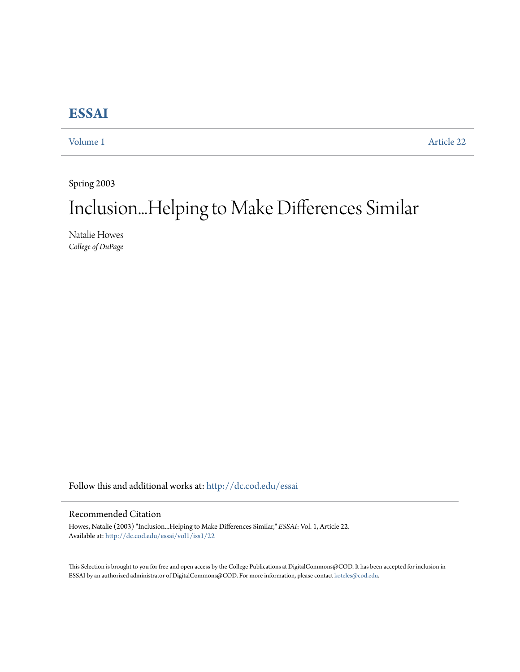## **[ESSAI](http://dc.cod.edu/essai?utm_source=dc.cod.edu%2Fessai%2Fvol1%2Fiss1%2F22&utm_medium=PDF&utm_campaign=PDFCoverPages)**

[Volume 1](http://dc.cod.edu/essai/vol1?utm_source=dc.cod.edu%2Fessai%2Fvol1%2Fiss1%2F22&utm_medium=PDF&utm_campaign=PDFCoverPages) [Article 22](http://dc.cod.edu/essai/vol1/iss1/22?utm_source=dc.cod.edu%2Fessai%2Fvol1%2Fiss1%2F22&utm_medium=PDF&utm_campaign=PDFCoverPages)

Spring 2003

# Inclusion...Helping to Make Differences Similar

Natalie Howes *College of DuPage*

Follow this and additional works at: [http://dc.cod.edu/essai](http://dc.cod.edu/essai?utm_source=dc.cod.edu%2Fessai%2Fvol1%2Fiss1%2F22&utm_medium=PDF&utm_campaign=PDFCoverPages)

### Recommended Citation

Howes, Natalie (2003) "Inclusion...Helping to Make Differences Similar," *ESSAI*: Vol. 1, Article 22. Available at: [http://dc.cod.edu/essai/vol1/iss1/22](http://dc.cod.edu/essai/vol1/iss1/22?utm_source=dc.cod.edu%2Fessai%2Fvol1%2Fiss1%2F22&utm_medium=PDF&utm_campaign=PDFCoverPages)

This Selection is brought to you for free and open access by the College Publications at DigitalCommons@COD. It has been accepted for inclusion in ESSAI by an authorized administrator of DigitalCommons@COD. For more information, please contact [koteles@cod.edu](mailto:koteles@cod.edu).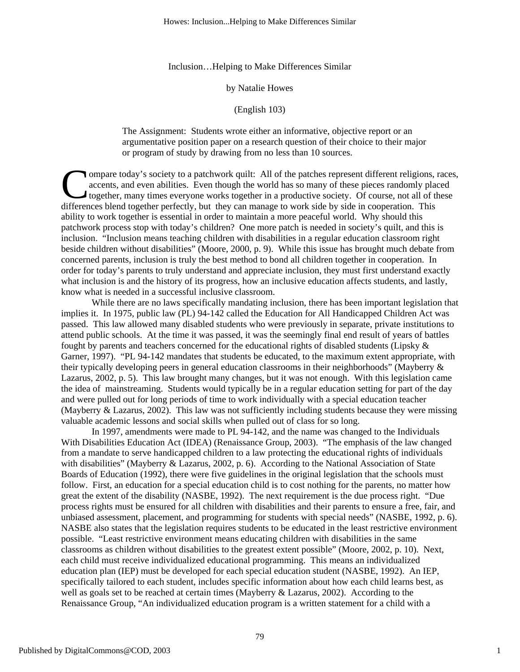Inclusion…Helping to Make Differences Similar

#### by Natalie Howes

#### (English 103)

The Assignment: Students wrote either an informative, objective report or an argumentative position paper on a research question of their choice to their major or program of study by drawing from no less than 10 sources.

ompare today's society to a patchwork quilt: All of the patches represent different religions, races, accents, and even abilities. Even though the world has so many of these pieces randomly placed together, many times everyone works together in a productive society. Of course, not all of these Ompare today's society to a patchwork quilt: All of the patches represent different religions, accents, and even abilities. Even though the world has so many of these pieces randomly plate together, many times everyone wor ability to work together is essential in order to maintain a more peaceful world. Why should this patchwork process stop with today's children? One more patch is needed in society's quilt, and this is inclusion. "Inclusion means teaching children with disabilities in a regular education classroom right beside children without disabilities" (Moore, 2000, p. 9). While this issue has brought much debate from concerned parents, inclusion is truly the best method to bond all children together in cooperation. In order for today's parents to truly understand and appreciate inclusion, they must first understand exactly what inclusion is and the history of its progress, how an inclusive education affects students, and lastly, know what is needed in a successful inclusive classroom.

While there are no laws specifically mandating inclusion, there has been important legislation that implies it. In 1975, public law (PL) 94-142 called the Education for All Handicapped Children Act was passed. This law allowed many disabled students who were previously in separate, private institutions to attend public schools. At the time it was passed, it was the seemingly final end result of years of battles fought by parents and teachers concerned for the educational rights of disabled students (Lipsky & Garner, 1997). "PL 94-142 mandates that students be educated, to the maximum extent appropriate, with their typically developing peers in general education classrooms in their neighborhoods" (Mayberry & Lazarus, 2002, p. 5). This law brought many changes, but it was not enough. With this legislation came the idea of mainstreaming. Students would typically be in a regular education setting for part of the day and were pulled out for long periods of time to work individually with a special education teacher (Mayberry & Lazarus, 2002). This law was not sufficiently including students because they were missing valuable academic lessons and social skills when pulled out of class for so long.

In 1997, amendments were made to PL 94-142, and the name was changed to the Individuals With Disabilities Education Act (IDEA) (Renaissance Group, 2003). "The emphasis of the law changed from a mandate to serve handicapped children to a law protecting the educational rights of individuals with disabilities" (Mayberry & Lazarus, 2002, p. 6). According to the National Association of State Boards of Education (1992), there were five guidelines in the original legislation that the schools must follow. First, an education for a special education child is to cost nothing for the parents, no matter how great the extent of the disability (NASBE, 1992). The next requirement is the due process right. "Due process rights must be ensured for all children with disabilities and their parents to ensure a free, fair, and unbiased assessment, placement, and programming for students with special needs" (NASBE, 1992, p. 6). NASBE also states that the legislation requires students to be educated in the least restrictive environment possible. "Least restrictive environment means educating children with disabilities in the same classrooms as children without disabilities to the greatest extent possible" (Moore, 2002, p. 10). Next, each child must receive individualized educational programming. This means an individualized education plan (IEP) must be developed for each special education student (NASBE, 1992). An IEP, specifically tailored to each student, includes specific information about how each child learns best, as well as goals set to be reached at certain times (Mayberry & Lazarus, 2002). According to the Renaissance Group, "An individualized education program is a written statement for a child with a

1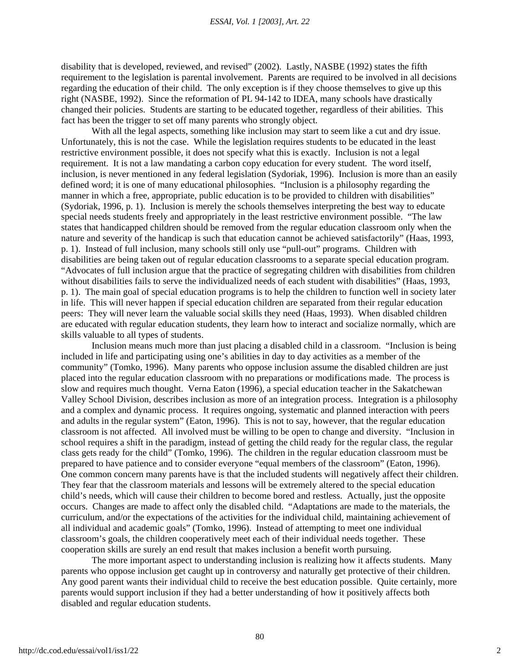disability that is developed, reviewed, and revised" (2002). Lastly, NASBE (1992) states the fifth requirement to the legislation is parental involvement. Parents are required to be involved in all decisions regarding the education of their child. The only exception is if they choose themselves to give up this right (NASBE, 1992). Since the reformation of PL 94-142 to IDEA, many schools have drastically changed their policies. Students are starting to be educated together, regardless of their abilities. This fact has been the trigger to set off many parents who strongly object.

With all the legal aspects, something like inclusion may start to seem like a cut and dry issue. Unfortunately, this is not the case. While the legislation requires students to be educated in the least restrictive environment possible, it does not specify what this is exactly. Inclusion is not a legal requirement. It is not a law mandating a carbon copy education for every student. The word itself, inclusion, is never mentioned in any federal legislation (Sydoriak, 1996). Inclusion is more than an easily defined word; it is one of many educational philosophies. "Inclusion is a philosophy regarding the manner in which a free, appropriate, public education is to be provided to children with disabilities" (Sydoriak, 1996, p. 1). Inclusion is merely the schools themselves interpreting the best way to educate special needs students freely and appropriately in the least restrictive environment possible. "The law states that handicapped children should be removed from the regular education classroom only when the nature and severity of the handicap is such that education cannot be achieved satisfactorily" (Haas, 1993, p. 1). Instead of full inclusion, many schools still only use "pull-out" programs. Children with disabilities are being taken out of regular education classrooms to a separate special education program. "Advocates of full inclusion argue that the practice of segregating children with disabilities from children without disabilities fails to serve the individualized needs of each student with disabilities" (Haas, 1993, p. 1). The main goal of special education programs is to help the children to function well in society later in life. This will never happen if special education children are separated from their regular education peers: They will never learn the valuable social skills they need (Haas, 1993). When disabled children are educated with regular education students, they learn how to interact and socialize normally, which are skills valuable to all types of students.

Inclusion means much more than just placing a disabled child in a classroom. "Inclusion is being included in life and participating using one's abilities in day to day activities as a member of the community" (Tomko, 1996). Many parents who oppose inclusion assume the disabled children are just placed into the regular education classroom with no preparations or modifications made. The process is slow and requires much thought. Verna Eaton (1996), a special education teacher in the Sakatchewan Valley School Division, describes inclusion as more of an integration process. Integration is a philosophy and a complex and dynamic process. It requires ongoing, systematic and planned interaction with peers and adults in the regular system" (Eaton, 1996). This is not to say, however, that the regular education classroom is not affected. All involved must be willing to be open to change and diversity. "Inclusion in school requires a shift in the paradigm, instead of getting the child ready for the regular class, the regular class gets ready for the child" (Tomko, 1996). The children in the regular education classroom must be prepared to have patience and to consider everyone "equal members of the classroom" (Eaton, 1996). One common concern many parents have is that the included students will negatively affect their children. They fear that the classroom materials and lessons will be extremely altered to the special education child's needs, which will cause their children to become bored and restless. Actually, just the opposite occurs. Changes are made to affect only the disabled child. "Adaptations are made to the materials, the curriculum, and/or the expectations of the activities for the individual child, maintaining achievement of all individual and academic goals" (Tomko, 1996). Instead of attempting to meet one individual classroom's goals, the children cooperatively meet each of their individual needs together. These cooperation skills are surely an end result that makes inclusion a benefit worth pursuing.

The more important aspect to understanding inclusion is realizing how it affects students. Many parents who oppose inclusion get caught up in controversy and naturally get protective of their children. Any good parent wants their individual child to receive the best education possible. Quite certainly, more parents would support inclusion if they had a better understanding of how it positively affects both disabled and regular education students.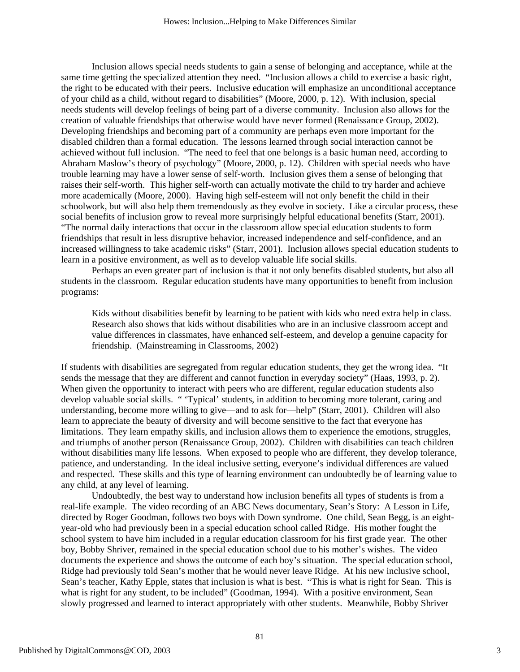Inclusion allows special needs students to gain a sense of belonging and acceptance, while at the same time getting the specialized attention they need. "Inclusion allows a child to exercise a basic right, the right to be educated with their peers. Inclusive education will emphasize an unconditional acceptance of your child as a child, without regard to disabilities" (Moore, 2000, p. 12). With inclusion, special needs students will develop feelings of being part of a diverse community. Inclusion also allows for the creation of valuable friendships that otherwise would have never formed (Renaissance Group, 2002). Developing friendships and becoming part of a community are perhaps even more important for the disabled children than a formal education. The lessons learned through social interaction cannot be achieved without full inclusion. "The need to feel that one belongs is a basic human need, according to Abraham Maslow's theory of psychology" (Moore, 2000, p. 12). Children with special needs who have trouble learning may have a lower sense of self-worth. Inclusion gives them a sense of belonging that raises their self-worth. This higher self-worth can actually motivate the child to try harder and achieve more academically (Moore, 2000). Having high self-esteem will not only benefit the child in their schoolwork, but will also help them tremendously as they evolve in society. Like a circular process, these social benefits of inclusion grow to reveal more surprisingly helpful educational benefits (Starr, 2001). "The normal daily interactions that occur in the classroom allow special education students to form friendships that result in less disruptive behavior, increased independence and self-confidence, and an increased willingness to take academic risks" (Starr, 2001). Inclusion allows special education students to learn in a positive environment, as well as to develop valuable life social skills.

Perhaps an even greater part of inclusion is that it not only benefits disabled students, but also all students in the classroom. Regular education students have many opportunities to benefit from inclusion programs:

Kids without disabilities benefit by learning to be patient with kids who need extra help in class. Research also shows that kids without disabilities who are in an inclusive classroom accept and value differences in classmates, have enhanced self-esteem, and develop a genuine capacity for friendship. (Mainstreaming in Classrooms, 2002)

If students with disabilities are segregated from regular education students, they get the wrong idea. "It sends the message that they are different and cannot function in everyday society" (Haas, 1993, p. 2). When given the opportunity to interact with peers who are different, regular education students also develop valuable social skills. " 'Typical' students, in addition to becoming more tolerant, caring and understanding, become more willing to give—and to ask for—help" (Starr, 2001). Children will also learn to appreciate the beauty of diversity and will become sensitive to the fact that everyone has limitations. They learn empathy skills, and inclusion allows them to experience the emotions, struggles, and triumphs of another person (Renaissance Group, 2002). Children with disabilities can teach children without disabilities many life lessons. When exposed to people who are different, they develop tolerance, patience, and understanding. In the ideal inclusive setting, everyone's individual differences are valued and respected. These skills and this type of learning environment can undoubtedly be of learning value to any child, at any level of learning.

Undoubtedly, the best way to understand how inclusion benefits all types of students is from a real-life example. The video recording of an ABC News documentary, Sean's Story: A Lesson in Life, directed by Roger Goodman, follows two boys with Down syndrome. One child, Sean Begg, is an eightyear-old who had previously been in a special education school called Ridge. His mother fought the school system to have him included in a regular education classroom for his first grade year. The other boy, Bobby Shriver, remained in the special education school due to his mother's wishes. The video documents the experience and shows the outcome of each boy's situation. The special education school, Ridge had previously told Sean's mother that he would never leave Ridge. At his new inclusive school, Sean's teacher, Kathy Epple, states that inclusion is what is best. "This is what is right for Sean. This is what is right for any student, to be included" (Goodman, 1994). With a positive environment, Sean slowly progressed and learned to interact appropriately with other students. Meanwhile, Bobby Shriver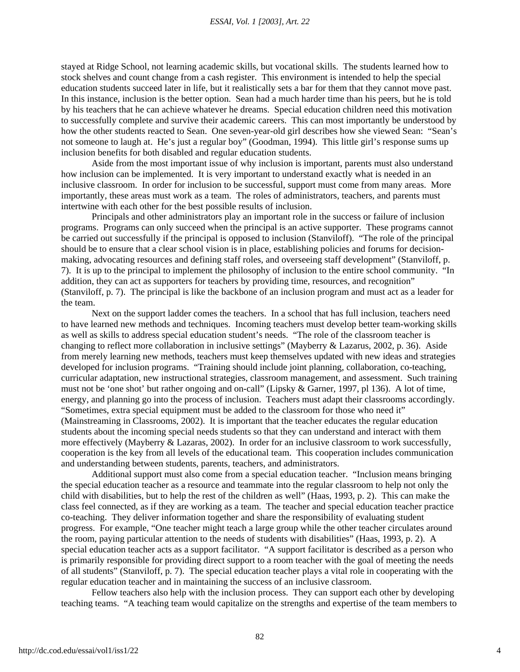#### *ESSAI, Vol. 1 [2003], Art. 22*

stayed at Ridge School, not learning academic skills, but vocational skills. The students learned how to stock shelves and count change from a cash register. This environment is intended to help the special education students succeed later in life, but it realistically sets a bar for them that they cannot move past. In this instance, inclusion is the better option. Sean had a much harder time than his peers, but he is told by his teachers that he can achieve whatever he dreams. Special education children need this motivation to successfully complete and survive their academic careers. This can most importantly be understood by how the other students reacted to Sean. One seven-year-old girl describes how she viewed Sean: "Sean's not someone to laugh at. He's just a regular boy" (Goodman, 1994). This little girl's response sums up inclusion benefits for both disabled and regular education students.

Aside from the most important issue of why inclusion is important, parents must also understand how inclusion can be implemented. It is very important to understand exactly what is needed in an inclusive classroom. In order for inclusion to be successful, support must come from many areas. More importantly, these areas must work as a team. The roles of administrators, teachers, and parents must intertwine with each other for the best possible results of inclusion.

Principals and other administrators play an important role in the success or failure of inclusion programs. Programs can only succeed when the principal is an active supporter. These programs cannot be carried out successfully if the principal is opposed to inclusion (Stanviloff). "The role of the principal should be to ensure that a clear school vision is in place, establishing policies and forums for decisionmaking, advocating resources and defining staff roles, and overseeing staff development" (Stanviloff, p. 7). It is up to the principal to implement the philosophy of inclusion to the entire school community. "In addition, they can act as supporters for teachers by providing time, resources, and recognition" (Stanviloff, p. 7). The principal is like the backbone of an inclusion program and must act as a leader for the team.

Next on the support ladder comes the teachers. In a school that has full inclusion, teachers need to have learned new methods and techniques. Incoming teachers must develop better team-working skills as well as skills to address special education student's needs. "The role of the classroom teacher is changing to reflect more collaboration in inclusive settings" (Mayberry & Lazarus, 2002, p. 36). Aside from merely learning new methods, teachers must keep themselves updated with new ideas and strategies developed for inclusion programs. "Training should include joint planning, collaboration, co-teaching, curricular adaptation, new instructional strategies, classroom management, and assessment. Such training must not be 'one shot' but rather ongoing and on-call" (Lipsky & Garner, 1997, pl 136). A lot of time, energy, and planning go into the process of inclusion. Teachers must adapt their classrooms accordingly. "Sometimes, extra special equipment must be added to the classroom for those who need it" (Mainstreaming in Classrooms, 2002). It is important that the teacher educates the regular education students about the incoming special needs students so that they can understand and interact with them more effectively (Mayberry & Lazaras, 2002). In order for an inclusive classroom to work successfully, cooperation is the key from all levels of the educational team. This cooperation includes communication and understanding between students, parents, teachers, and administrators.

Additional support must also come from a special education teacher. "Inclusion means bringing the special education teacher as a resource and teammate into the regular classroom to help not only the child with disabilities, but to help the rest of the children as well" (Haas, 1993, p. 2). This can make the class feel connected, as if they are working as a team. The teacher and special education teacher practice co-teaching. They deliver information together and share the responsibility of evaluating student progress. For example, "One teacher might teach a large group while the other teacher circulates around the room, paying particular attention to the needs of students with disabilities" (Haas, 1993, p. 2). A special education teacher acts as a support facilitator. "A support facilitator is described as a person who is primarily responsible for providing direct support to a room teacher with the goal of meeting the needs of all students" (Stanviloff, p. 7). The special education teacher plays a vital role in cooperating with the regular education teacher and in maintaining the success of an inclusive classroom.

Fellow teachers also help with the inclusion process. They can support each other by developing teaching teams. "A teaching team would capitalize on the strengths and expertise of the team members to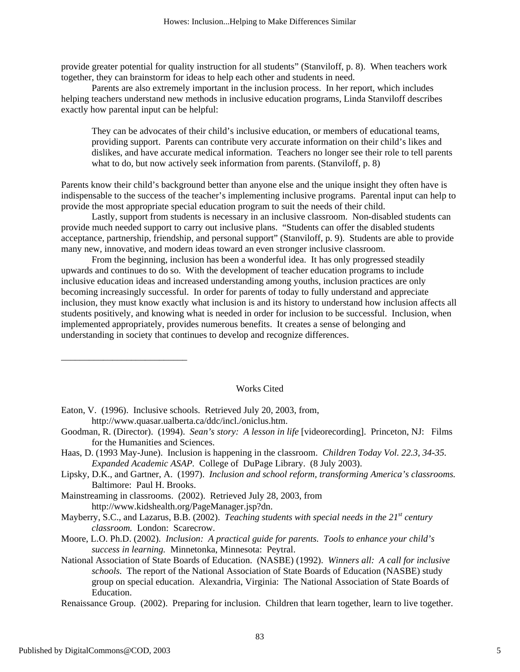provide greater potential for quality instruction for all students" (Stanviloff, p. 8). When teachers work together, they can brainstorm for ideas to help each other and students in need.

Parents are also extremely important in the inclusion process. In her report, which includes helping teachers understand new methods in inclusive education programs, Linda Stanviloff describes exactly how parental input can be helpful:

They can be advocates of their child's inclusive education, or members of educational teams, providing support. Parents can contribute very accurate information on their child's likes and dislikes, and have accurate medical information. Teachers no longer see their role to tell parents what to do, but now actively seek information from parents. (Stanviloff, p. 8)

Parents know their child's background better than anyone else and the unique insight they often have is indispensable to the success of the teacher's implementing inclusive programs. Parental input can help to provide the most appropriate special education program to suit the needs of their child.

Lastly, support from students is necessary in an inclusive classroom. Non-disabled students can provide much needed support to carry out inclusive plans. "Students can offer the disabled students acceptance, partnership, friendship, and personal support" (Stanviloff, p. 9). Students are able to provide many new, innovative, and modern ideas toward an even stronger inclusive classroom.

From the beginning, inclusion has been a wonderful idea. It has only progressed steadily upwards and continues to do so. With the development of teacher education programs to include inclusive education ideas and increased understanding among youths, inclusion practices are only becoming increasingly successful. In order for parents of today to fully understand and appreciate inclusion, they must know exactly what inclusion is and its history to understand how inclusion affects all students positively, and knowing what is needed in order for inclusion to be successful. Inclusion, when implemented appropriately, provides numerous benefits. It creates a sense of belonging and understanding in society that continues to develop and recognize differences.

#### Works Cited

Eaton, V. (1996). Inclusive schools. Retrieved July 20, 2003, from, http://www.quasar.ualberta.ca/ddc/incl./oniclus.htm.

\_\_\_\_\_\_\_\_\_\_\_\_\_\_\_\_\_\_\_\_\_\_\_\_\_\_\_

- Goodman, R. (Director). (1994). *Sean's story: A lesson in life* [videorecording]. Princeton, NJ: Films for the Humanities and Sciences.
- Haas, D. (1993 May-June). Inclusion is happening in the classroom. *Children Today Vol. 22.3, 34-35. Expanded Academic ASAP.* College of DuPage Library. (8 July 2003).
- Lipsky, D.K., and Gartner, A. (1997). *Inclusion and school reform, transforming America's classrooms.* Baltimore: Paul H. Brooks.
- Mainstreaming in classrooms. (2002). Retrieved July 28, 2003, from http://www.kidshealth.org/PageManager.jsp?dn.
- Mayberry, S.C., and Lazarus, B.B. (2002). *Teaching students with special needs in the 21<sup>st</sup> century classroom.* London: Scarecrow.
- Moore, L.O. Ph.D. (2002). *Inclusion: A practical guide for parents. Tools to enhance your child's success in learning.* Minnetonka, Minnesota: Peytral.
- National Association of State Boards of Education. (NASBE) (1992). *Winners all: A call for inclusive schools.* The report of the National Association of State Boards of Education (NASBE) study group on special education. Alexandria, Virginia: The National Association of State Boards of Education.

Renaissance Group. (2002). Preparing for inclusion. Children that learn together, learn to live together.